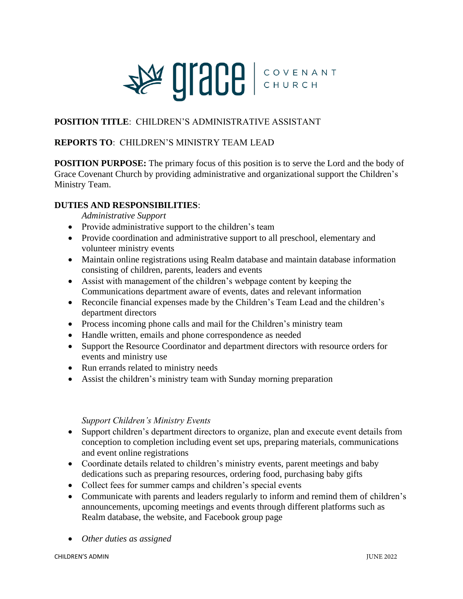

# **POSITION TITLE**: CHILDREN'S ADMINISTRATIVE ASSISTANT

### **REPORTS TO**: CHILDREN'S MINISTRY TEAM LEAD

**POSITION PURPOSE:** The primary focus of this position is to serve the Lord and the body of Grace Covenant Church by providing administrative and organizational support the Children's Ministry Team.

#### **DUTIES AND RESPONSIBILITIES**:

*Administrative Support*

- Provide administrative support to the children's team
- Provide coordination and administrative support to all preschool, elementary and volunteer ministry events
- Maintain online registrations using Realm database and maintain database information consisting of children, parents, leaders and events
- Assist with management of the children's webpage content by keeping the Communications department aware of events, dates and relevant information
- Reconcile financial expenses made by the Children's Team Lead and the children's department directors
- Process incoming phone calls and mail for the Children's ministry team
- Handle written, emails and phone correspondence as needed
- Support the Resource Coordinator and department directors with resource orders for events and ministry use
- Run errands related to ministry needs
- Assist the children's ministry team with Sunday morning preparation

### *Support Children's Ministry Events*

- Support children's department directors to organize, plan and execute event details from conception to completion including event set ups, preparing materials, communications and event online registrations
- Coordinate details related to children's ministry events, parent meetings and baby dedications such as preparing resources, ordering food, purchasing baby gifts
- Collect fees for summer camps and children's special events
- Communicate with parents and leaders regularly to inform and remind them of children's announcements, upcoming meetings and events through different platforms such as Realm database, the website, and Facebook group page
- *Other duties as assigned*